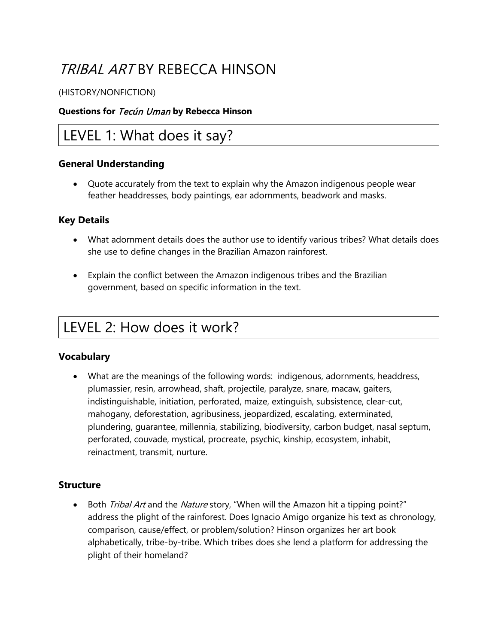# TRIBAL ART BY REBECCA HINSON

#### (HISTORY/NONFICTION)

#### **Questions for** Tecún Uman **by Rebecca Hinson**

### LEVEL 1: What does it say?

#### **General Understanding**

• Quote accurately from the text to explain why the Amazon indigenous people wear feather headdresses, body paintings, ear adornments, beadwork and masks.

#### **Key Details**

- What adornment details does the author use to identify various tribes? What details does she use to define changes in the Brazilian Amazon rainforest.
- Explain the conflict between the Amazon indigenous tribes and the Brazilian government, based on specific information in the text.

## LEVEL 2: How does it work?

#### **Vocabulary**

• What are the meanings of the following words: indigenous, adornments, headdress, plumassier, resin, arrowhead, shaft, projectile, paralyze, snare, macaw, gaiters, indistinguishable, initiation, perforated, maize, extinguish, subsistence, clear-cut, mahogany, deforestation, agribusiness, jeopardized, escalating, exterminated, plundering, guarantee, millennia, stabilizing, biodiversity, carbon budget, nasal septum, perforated, couvade, mystical, procreate, psychic, kinship, ecosystem, inhabit, reinactment, transmit, nurture.

#### **Structure**

Both *Tribal Art* and the *Nature* story, "When will the Amazon hit a tipping point?" address the plight of the rainforest. Does Ignacio Amigo organize his text as chronology, comparison, cause/effect, or problem/solution? Hinson organizes her art book alphabetically, tribe-by-tribe. Which tribes does she lend a platform for addressing the plight of their homeland?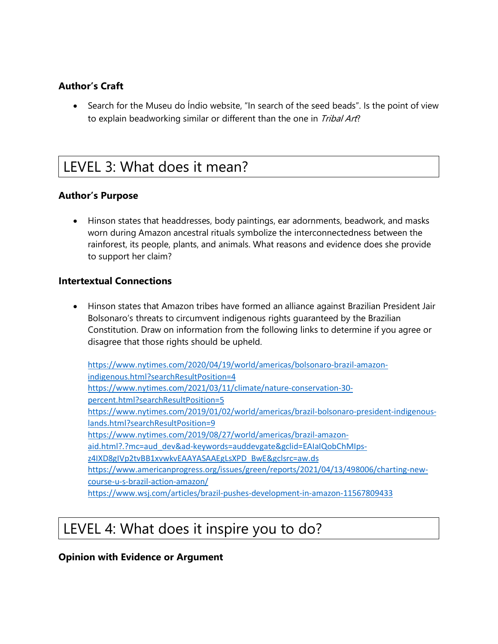### **Author's Craft**

• Search for the Museu do Indio website, "In search of the seed beads". Is the point of view to explain beadworking similar or different than the one in *Tribal Art*?

### LEVEL 3: What does it mean?

### **Author's Purpose**

• Hinson states that headdresses, body paintings, ear adornments, beadwork, and masks worn during Amazon ancestral rituals symbolize the interconnectedness between the rainforest, its people, plants, and animals. What reasons and evidence does she provide to support her claim?

#### **Intertextual Connections**

• Hinson states that Amazon tribes have formed an alliance against Brazilian President Jair Bolsonaro's threats to circumvent indigenous rights guaranteed by the Brazilian Constitution. Draw on information from the following links to determine if you agree or disagree that those rights should be upheld.

[https://www.nytimes.com/2020/04/19/world/americas/bolsonaro-brazil-amazon](https://www.nytimes.com/2020/04/19/world/americas/bolsonaro-brazil-amazon-indigenous.html?searchResultPosition=4)[indigenous.html?searchResultPosition=4](https://www.nytimes.com/2020/04/19/world/americas/bolsonaro-brazil-amazon-indigenous.html?searchResultPosition=4) [https://www.nytimes.com/2021/03/11/climate/nature-conservation-30](https://www.nytimes.com/2021/03/11/climate/nature-conservation-30-percent.html?searchResultPosition=5) [percent.html?searchResultPosition=5](https://www.nytimes.com/2021/03/11/climate/nature-conservation-30-percent.html?searchResultPosition=5) [https://www.nytimes.com/2019/01/02/world/americas/brazil-bolsonaro-president-indigenous](https://www.nytimes.com/2019/01/02/world/americas/brazil-bolsonaro-president-indigenous-lands.html?searchResultPosition=9)[lands.html?searchResultPosition=9](https://www.nytimes.com/2019/01/02/world/americas/brazil-bolsonaro-president-indigenous-lands.html?searchResultPosition=9) [https://www.nytimes.com/2019/08/27/world/americas/brazil-amazon](https://www.nytimes.com/2019/08/27/world/americas/brazil-amazon-aid.html?.?mc=aud_dev&ad-keywords=auddevgate&gclid=EAIaIQobChMIps-z4IXD8gIVp2tvBB1xvwkvEAAYASAAEgLsXPD_BwE&gclsrc=aw.ds)[aid.html?.?mc=aud\\_dev&ad-keywords=auddevgate&gclid=EAIaIQobChMIps](https://www.nytimes.com/2019/08/27/world/americas/brazil-amazon-aid.html?.?mc=aud_dev&ad-keywords=auddevgate&gclid=EAIaIQobChMIps-z4IXD8gIVp2tvBB1xvwkvEAAYASAAEgLsXPD_BwE&gclsrc=aw.ds)[z4IXD8gIVp2tvBB1xvwkvEAAYASAAEgLsXPD\\_BwE&gclsrc=aw.ds](https://www.nytimes.com/2019/08/27/world/americas/brazil-amazon-aid.html?.?mc=aud_dev&ad-keywords=auddevgate&gclid=EAIaIQobChMIps-z4IXD8gIVp2tvBB1xvwkvEAAYASAAEgLsXPD_BwE&gclsrc=aw.ds) [https://www.americanprogress.org/issues/green/reports/2021/04/13/498006/charting-new](https://www.americanprogress.org/issues/green/reports/2021/04/13/498006/charting-new-course-u-s-brazil-action-amazon/)[course-u-s-brazil-action-amazon/](https://www.americanprogress.org/issues/green/reports/2021/04/13/498006/charting-new-course-u-s-brazil-action-amazon/) https://www.wsj.com/articles/brazil-pushes-development-in-amazon-11567809433

## LEVEL 4: What does it inspire you to do?

#### **Opinion with Evidence or Argument**